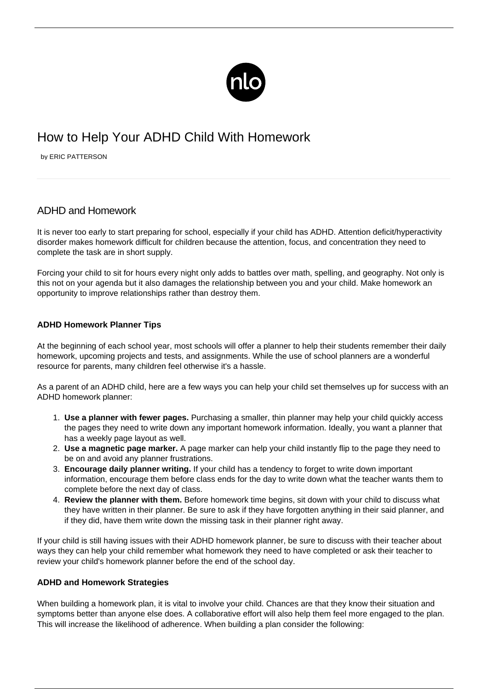

# How to Help Your ADHD Child With Homework

by ERIC PATTERSON

## ADHD and Homework

It is never too early to start preparing for school, especially if your child has ADHD. Attention deficit/hyperactivity disorder makes homework difficult for children because the attention, [focus,](/activities-home-children-with-adhd/) and concentration they need to complete the task are in short supply.

Forcing your child to sit for hours every night only adds to battles over math, spelling, and geography. Not only is this not on your agenda but it also damages the relationship between you and your child. Make homework an opportunity to improve relationships rather than destroy them.

### **ADHD Homework Planner Tips**

At the beginning of each school year, most schools will offer a planner to help their students remember their daily homework, upcoming projects and tests, and assignments. While the use of school planners are a wonderful resource for parents, many children feel otherwise it's a hassle.

As a parent of an ADHD child, here are a few ways you can help your child set themselves up for success with an ADHD homework planner:

- 1. **Use a planner with fewer pages.** Purchasing a smaller, thin planner may help your child quickly access the pages they need to write down any important homework information. Ideally, you want a planner that has a weekly page layout as well.
- 2. **Use a magnetic page marker.** A page marker can help your child instantly flip to the page they need to be on and avoid any planner frustrations.
- 3. **Encourage daily planner writing.** If your child has a tendency to forget to write down important information, encourage them before class ends for the day to write down what the teacher wants them to complete before the next day of class.
- 4. **Review the planner with them.** Before homework time begins, sit down with your child to discuss what they have written in their planner. Be sure to ask if they have forgotten anything in their said planner, and if they did, have them write down the missing task in their planner right away.

If your child is still having issues with their ADHD homework planner, be sure to discuss with their teacher about ways they can help your child remember what homework they need to have completed or ask their teacher to review your child's homework planner before the end of the school day.

#### **ADHD and Homework Strategies**

When building a homework plan, it is vital to involve your child. Chances are that they know their situation and symptoms better than anyone else does. A collaborative effort will also help them feel more engaged to the plan. This will increase the likelihood of adherence. When building a plan consider the following: